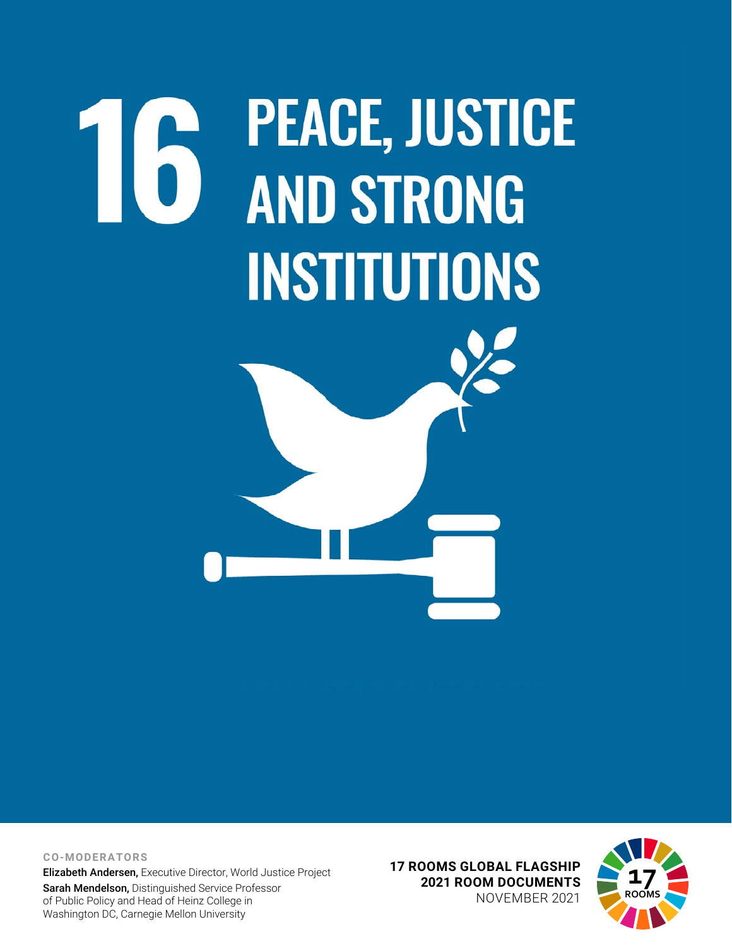# **PEACE, JUSTICE** 16 **AND STRONG INSTITUTIONS**

**CO-MODERATORS**

Elizabeth Andersen, Executive Director, World Justice Project

Sarah Mendelson, Distinguished Service Professor of Public Policy and Head of Heinz College in Washington DC, Carnegie Mellon University

**17 ROOMS GLOBAL FLAGSHIP 2021 ROOM DOCUMENTS** NOVEMBER 2021

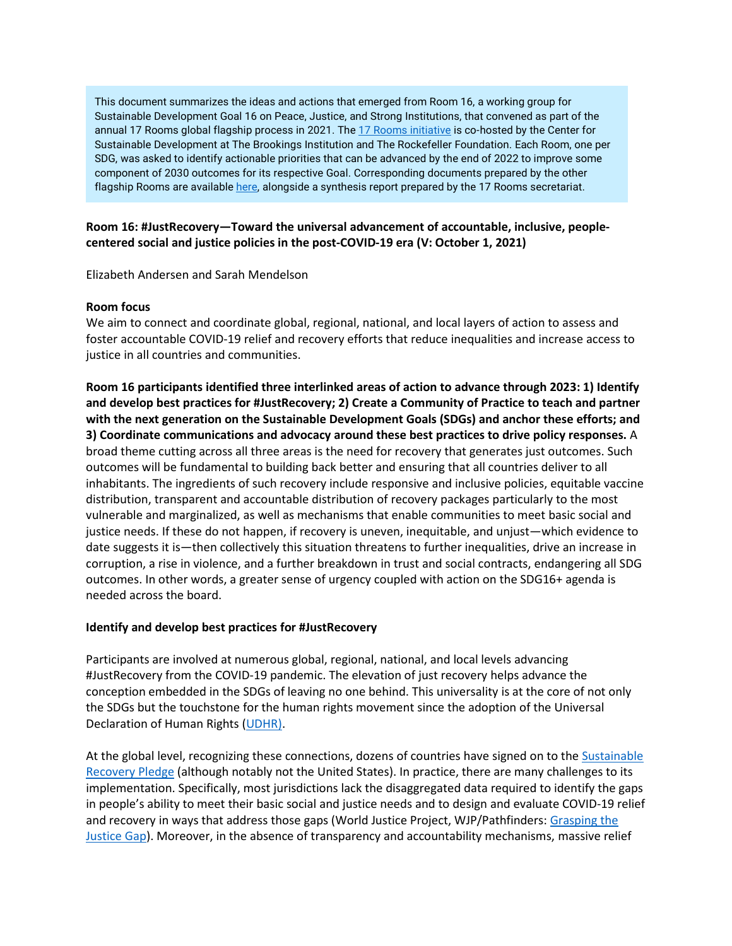This document summarizes the ideas and actions that emerged from Room 16, a working group for Sustainable Development Goal 16 on Peace, Justice, and Strong Institutions, that convened as part of the annual 17 Rooms global flagship process in 2021. The [17 Rooms initiative](https://www.brookings.edu/project/17-rooms/) is co-hosted by the Center for Sustainable Development at The Brookings Institution and The Rockefeller Foundation. Each Room, one per SDG, was asked to identify actionable priorities that can be advanced by the end of 2022 to improve some component of 2030 outcomes for its respective Goal. Corresponding documents prepared by the other flagship Rooms are availabl[e here,](http://www.brookings.edu/17rooms2021) alongside a synthesis report prepared by the 17 Rooms secretariat.

## **Room 16: #JustRecovery—Toward the universal advancement of accountable, inclusive, peoplecentered social and justice policies in the post-COVID-19 era (V: October 1, 2021)**

Elizabeth Andersen and Sarah Mendelson

### **Room focus**

We aim to connect and coordinate global, regional, national, and local layers of action to assess and foster accountable COVID-19 relief and recovery efforts that reduce inequalities and increase access to justice in all countries and communities.

**Room 16 participants identified three interlinked areas of action to advance through 2023: 1) Identify and develop best practices for #JustRecovery; 2) Create a Community of Practice to teach and partner with the next generation on the Sustainable Development Goals (SDGs) and anchor these efforts; and 3) Coordinate communications and advocacy around these best practices to drive policy responses.** A broad theme cutting across all three areas is the need for recovery that generates just outcomes. Such outcomes will be fundamental to building back better and ensuring that all countries deliver to all inhabitants. The ingredients of such recovery include responsive and inclusive policies, equitable vaccine distribution, transparent and accountable distribution of recovery packages particularly to the most vulnerable and marginalized, as well as mechanisms that enable communities to meet basic social and justice needs. If these do not happen, if recovery is uneven, inequitable, and unjust—which evidence to date suggests it is—then collectively this situation threatens to further inequalities, drive an increase in corruption, a rise in violence, and a further breakdown in trust and social contracts, endangering all SDG outcomes. In other words, a greater sense of urgency coupled with action on the SDG16+ agenda is needed across the board.

### **Identify and develop best practices for #JustRecovery**

Participants are involved at numerous global, regional, national, and local levels advancing #JustRecovery from the COVID-19 pandemic. The elevation of just recovery helps advance the conception embedded in the SDGs of leaving no one behind. This universality is at the core of not only the SDGs but the touchstone for the human rights movement since the adoption of the Universal Declaration of Human Rights [\(UDHR\)](https://www.un.org/en/about-us/universal-declaration-of-human-rights).

At the global level, recognizing these connections, dozens of countries have signed on to the [Sustainable](https://www.humanrights.dk/events/launch-pledge-building-better-future-all-human-rights-its-heart)  [Recovery Pledge](https://www.humanrights.dk/events/launch-pledge-building-better-future-all-human-rights-its-heart) (although notably not the United States). In practice, there are many challenges to its implementation. Specifically, most jurisdictions lack the disaggregated data required to identify the gaps in people's ability to meet their basic social and justice needs and to design and evaluate COVID-19 relief and recovery in ways that address those gaps (World Justice Project, WJP/Pathfinders: Grasping the [Justice Gap\)](https://worldjusticeproject.org/sites/default/files/documents/Challenge%20Paper%20Public-Discussion-Draft_v10.pdf). Moreover, in the absence of transparency and accountability mechanisms, massive relief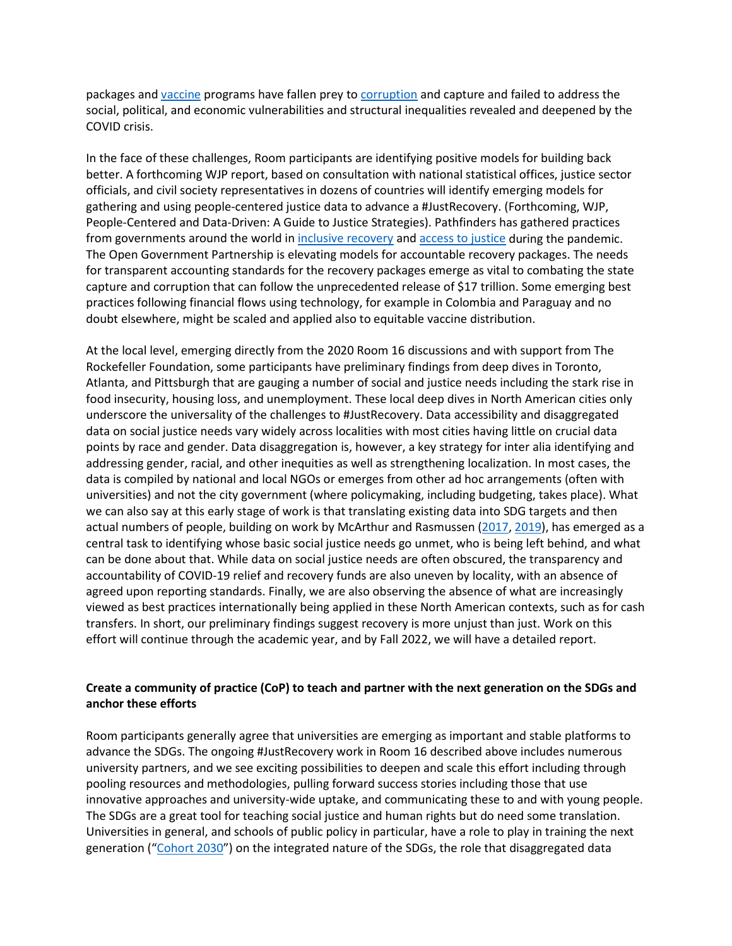packages an[d vaccine](https://www.opengovpartnership.org/documents/a-guide-to-open-government-and-the-coronavirus-vaccines/) programs have fallen prey t[o corruption](https://www.internationalbudget.org/2020/07/making-trillion-dollar-stimulus-and-safety-nets-work-for-all-essential-steps-we-can-take-now/) and capture and failed to address the social, political, and economic vulnerabilities and structural inequalities revealed and deepened by the COVID crisis.

In the face of these challenges, Room participants are identifying positive models for building back better. A forthcoming WJP report, based on consultation with national statistical offices, justice sector officials, and civil society representatives in dozens of countries will identify emerging models for gathering and using people-centered justice data to advance a #JustRecovery. (Forthcoming, WJP, People-Centered and Data-Driven: A Guide to Justice Strategies). Pathfinders has gathered practices from governments around the world in [inclusive recovery](https://www.sdg16.plus/inequality) and [access to justice](https://www.justice.sdg16.plus/) during the pandemic. The Open Government Partnership is elevating models for accountable recovery packages. The needs for transparent accounting standards for the recovery packages emerge as vital to combating the state capture and corruption that can follow the unprecedented release of \$17 trillion. Some emerging best practices following financial flows using technology, for example in Colombia and Paraguay and no doubt elsewhere, might be scaled and applied also to equitable vaccine distribution.

At the local level, emerging directly from the 2020 Room 16 discussions and with support from The Rockefeller Foundation, some participants have preliminary findings from deep dives in Toronto, Atlanta, and Pittsburgh that are gauging a number of social and justice needs including the stark rise in food insecurity, housing loss, and unemployment. These local deep dives in North American cities only underscore the universality of the challenges to #JustRecovery. Data accessibility and disaggregated data on social justice needs vary widely across localities with most cities having little on crucial data points by race and gender. Data disaggregation is, however, a key strategy for inter alia identifying and addressing gender, racial, and other inequities as well as strengthening localization. In most cases, the data is compiled by national and local NGOs or emerges from other ad hoc arrangements (often with universities) and not the city government (where policymaking, including budgeting, takes place). What we can also say at this early stage of work is that translating existing data into SDG targets and then actual numbers of people, building on work by McArthur and Rasmussen [\(2017,](https://www.brookings.edu/research/who-and-what-gets-left-behind-assessing-canadas-domestic-status-on-the-sustainable-development-goals/) [2019\)](https://www.sciencedirect.com/science/article/pii/S0305750X19301846#f0005), has emerged as a central task to identifying whose basic social justice needs go unmet, who is being left behind, and what can be done about that. While data on social justice needs are often obscured, the transparency and accountability of COVID-19 relief and recovery funds are also uneven by locality, with an absence of agreed upon reporting standards. Finally, we are also observing the absence of what are increasingly viewed as best practices internationally being applied in these North American contexts, such as for cash transfers. In short, our preliminary findings suggest recovery is more unjust than just. Work on this effort will continue through the academic year, and by Fall 2022, we will have a detailed report.

# **Create a community of practice (CoP) to teach and partner with the next generation on the SDGs and anchor these efforts**

Room participants generally agree that universities are emerging as important and stable platforms to advance the SDGs. The ongoing #JustRecovery work in Room 16 described above includes numerous university partners, and we see exciting possibilities to deepen and scale this effort including through pooling resources and methodologies, pulling forward success stories including those that use innovative approaches and university-wide uptake, and communicating these to and with young people. The SDGs are a great tool for teaching social justice and human rights but do need some translation. Universities in general, and schools of public policy in particular, have a role to play in training the next generation (["Cohort 2030"](https://cic.nyu.edu/blog/young-people-sustainable-development-goals-and-liberal-world-order-what-be-done)) on the integrated nature of the SDGs, the role that disaggregated data